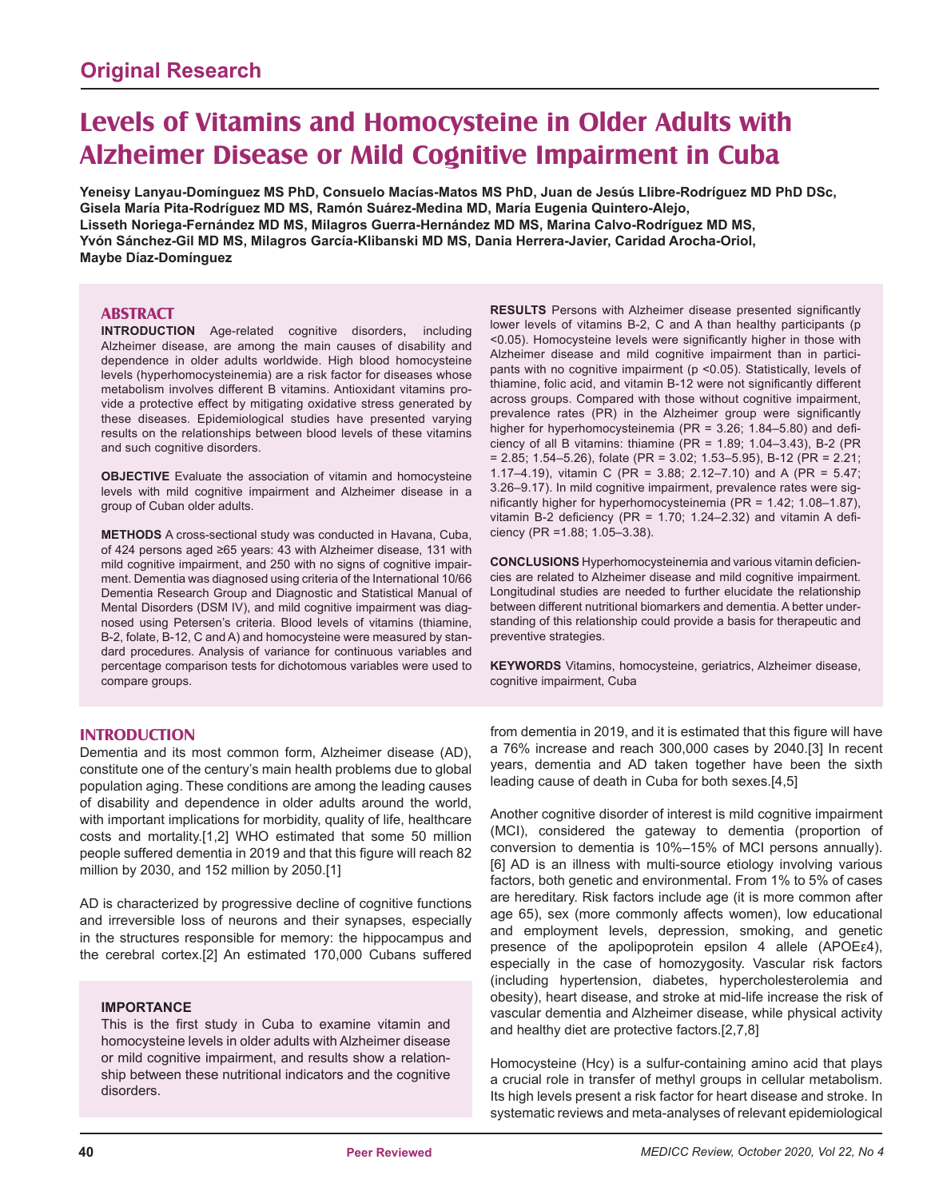# **Levels of Vitamins and Homocysteine in Older Adults with Alzheimer Disease or Mild Cognitive Impairment in Cuba**

**Yeneisy Lanyau-Domínguez MS PhD, Consuelo Macías-Matos MS PhD, Juan de Jesús Llibre-Rodríguez MD PhD DSc, Gisela María Pita-Rodríguez MD MS, Ramón Suárez-Medina MD, María Eugenia Quintero-Alejo, Lisseth Noriega-Fernández MD MS, Milagros Guerra-Hernández MD MS, Marina Calvo-Rodríguez MD MS, Yvón Sánchez-Gil MD MS, Milagros García-Klibanski MD MS, Dania Herrera-Javier, Caridad Arocha-Oriol, Maybe Díaz-Domínguez**

## **ABSTRACT**

**INTRODUCTION** Age-related cognitive disorders, including Alzheimer disease, are among the main causes of disability and dependence in older adults worldwide. High blood homocysteine levels (hyperhomocysteinemia) are a risk factor for diseases whose metabolism involves different B vitamins. Antioxidant vitamins provide a protective effect by mitigating oxidative stress generated by these diseases. Epidemiological studies have presented varying results on the relationships between blood levels of these vitamins and such cognitive disorders.

**OBJECTIVE** Evaluate the association of vitamin and homocysteine levels with mild cognitive impairment and Alzheimer disease in a group of Cuban older adults.

**METHODS** A cross-sectional study was conducted in Havana, Cuba, of 424 persons aged ≥65 years: 43 with Alzheimer disease, 131 with mild cognitive impairment, and 250 with no signs of cognitive impairment. Dementia was diagnosed using criteria of the International 10/66 Dementia Research Group and Diagnostic and Statistical Manual of Mental Disorders (DSM IV), and mild cognitive impairment was diagnosed using Petersen's criteria. Blood levels of vitamins (thiamine, B-2, folate, B-12, C and A) and homocysteine were measured by standard procedures. Analysis of variance for continuous variables and percentage comparison tests for dichotomous variables were used to compare groups.

**INTRODUCTION**

Dementia and its most common form, Alzheimer disease (AD), constitute one of the century's main health problems due to global population aging. These conditions are among the leading causes of disability and dependence in older adults around the world, with important implications for morbidity, quality of life, healthcare costs and mortality.[1,2] WHO estimated that some 50 million people suffered dementia in 2019 and that this figure will reach 82 million by 2030, and 152 million by 2050.[1]

AD is characterized by progressive decline of cognitive functions and irreversible loss of neurons and their synapses, especially in the structures responsible for memory: the hippocampus and the cerebral cortex.[2] An estimated 170,000 Cubans suffered

### **IMPORTANCE**

This is the first study in Cuba to examine vitamin and homocysteine levels in older adults with Alzheimer disease or mild cognitive impairment, and results show a relationship between these nutritional indicators and the cognitive disorders.

**RESULTS** Persons with Alzheimer disease presented significantly lower levels of vitamins B-2, C and A than healthy participants (p <0.05). Homocysteine levels were significantly higher in those with Alzheimer disease and mild cognitive impairment than in participants with no cognitive impairment (p <0.05). Statistically, levels of thiamine, folic acid, and vitamin B-12 were not significantly different across groups. Compared with those without cognitive impairment, prevalence rates (PR) in the Alzheimer group were significantly higher for hyperhomocysteinemia (PR =  $3.26$ ;  $1.84 - 5.80$ ) and deficiency of all B vitamins: thiamine (PR = 1.89; 1.04–3.43), B-2 (PR  $= 2.85$ ; 1.54–5.26), folate (PR = 3.02; 1.53–5.95), B-12 (PR = 2.21; 1.17–4.19), vitamin C (PR = 3.88; 2.12–7.10) and A (PR = 5.47; 3.26–9.17). In mild cognitive impairment, prevalence rates were significantly higher for hyperhomocysteinemia (PR =  $1.42$ ;  $1.08-1.87$ ), vitamin B-2 deficiency (PR = 1.70; 1.24-2.32) and vitamin A deficiency (PR =1.88; 1.05–3.38).

**CONCLUSIONS** Hyperhomocysteinemia and various vitamin deficiencies are related to Alzheimer disease and mild cognitive impairment. Longitudinal studies are needed to further elucidate the relationship between different nutritional biomarkers and dementia. A better understanding of this relationship could provide a basis for therapeutic and preventive strategies.

**KEYWORDS** Vitamins, homocysteine, geriatrics, Alzheimer disease, cognitive impairment, Cuba

from dementia in 2019, and it is estimated that this figure will have a 76% increase and reach 300,000 cases by 2040.[3] In recent years, dementia and AD taken together have been the sixth leading cause of death in Cuba for both sexes.[4,5]

Another cognitive disorder of interest is mild cognitive impairment (MCI), considered the gateway to dementia (proportion of conversion to dementia is 10%–15% of MCI persons annually). [6] AD is an illness with multi-source etiology involving various factors, both genetic and environmental. From 1% to 5% of cases are hereditary. Risk factors include age (it is more common after age 65), sex (more commonly affects women), low educational and employment levels, depression, smoking, and genetic presence of the apolipoprotein epsilon 4 allele (APOEε4), especially in the case of homozygosity. Vascular risk factors (including hypertension, diabetes, hypercholesterolemia and obesity), heart disease, and stroke at mid-life increase the risk of vascular dementia and Alzheimer disease, while physical activity and healthy diet are protective factors.[2,7,8]

Homocysteine (Hcy) is a sulfur-containing amino acid that plays a crucial role in transfer of methyl groups in cellular metabolism. Its high levels present a risk factor for heart disease and stroke. In systematic reviews and meta-analyses of relevant epidemiological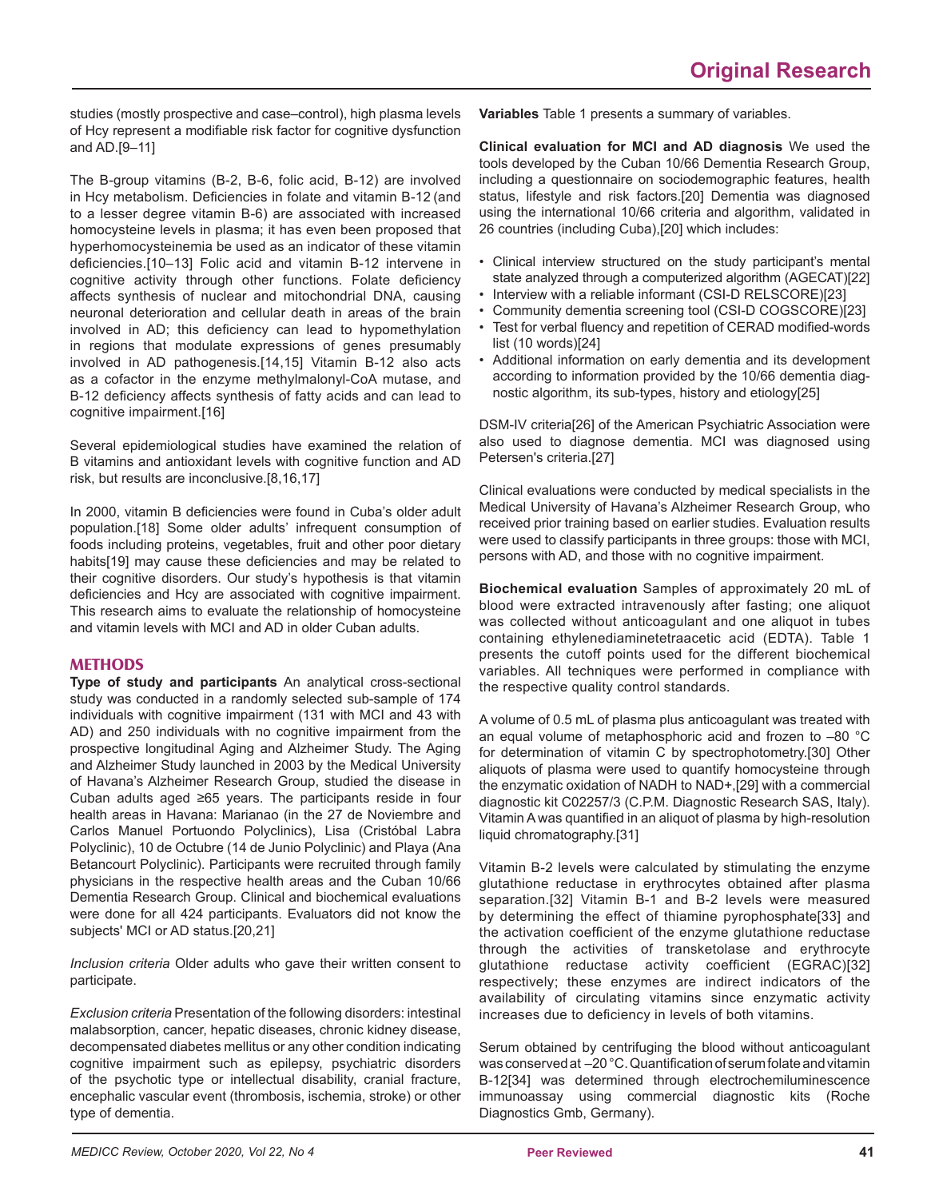studies (mostly prospective and case–control), high plasma levels of Hcy represent a modifiable risk factor for cognitive dysfunction and AD.[9–11]

The B-group vitamins (B-2, B-6, folic acid, B-12) are involved in Hcy metabolism. Deficiencies in folate and vitamin B-12 (and to a lesser degree vitamin B-6) are associated with increased homocysteine levels in plasma; it has even been proposed that hyperhomocysteinemia be used as an indicator of these vitamin deficiencies.[10–13] Folic acid and vitamin B-12 intervene in cognitive activity through other functions. Folate deficiency affects synthesis of nuclear and mitochondrial DNA, causing neuronal deterioration and cellular death in areas of the brain involved in AD; this deficiency can lead to hypomethylation in regions that modulate expressions of genes presumably involved in AD pathogenesis.[14,15] Vitamin B-12 also acts as a cofactor in the enzyme methylmalonyl-CoA mutase, and B-12 deficiency affects synthesis of fatty acids and can lead to cognitive impairment.[16]

Several epidemiological studies have examined the relation of B vitamins and antioxidant levels with cognitive function and AD risk, but results are inconclusive.[8,16,17]

In 2000, vitamin B deficiencies were found in Cuba's older adult population.[18] Some older adults' infrequent consumption of foods including proteins, vegetables, fruit and other poor dietary habits[19] may cause these deficiencies and may be related to their cognitive disorders. Our study's hypothesis is that vitamin deficiencies and Hcy are associated with cognitive impairment. This research aims to evaluate the relationship of homocysteine and vitamin levels with MCI and AD in older Cuban adults.

## **METHODS**

**Type of study and participants** An analytical cross-sectional study was conducted in a randomly selected sub-sample of 174 individuals with cognitive impairment (131 with MCI and 43 with AD) and 250 individuals with no cognitive impairment from the prospective longitudinal Aging and Alzheimer Study. The Aging and Alzheimer Study launched in 2003 by the Medical University of Havana's Alzheimer Research Group, studied the disease in Cuban adults aged ≥65 years. The participants reside in four health areas in Havana: Marianao (in the 27 de Noviembre and Carlos Manuel Portuondo Polyclinics), Lisa (Cristóbal Labra Polyclinic), 10 de Octubre (14 de Junio Polyclinic) and Playa (Ana Betancourt Polyclinic). Participants were recruited through family physicians in the respective health areas and the Cuban 10/66 Dementia Research Group. Clinical and biochemical evaluations were done for all 424 participants. Evaluators did not know the subjects' MCI or AD status.[20,21]

*Inclusion criteria* Older adults who gave their written consent to participate.

*Exclusion criteria* Presentation of the following disorders: intestinal malabsorption, cancer, hepatic diseases, chronic kidney disease, decompensated diabetes mellitus or any other condition indicating cognitive impairment such as epilepsy, psychiatric disorders of the psychotic type or intellectual disability, cranial fracture, encephalic vascular event (thrombosis, ischemia, stroke) or other type of dementia.

**Variables** Table 1 presents a summary of variables.

**Clinical evaluation for MCI and AD diagnosis** We used the tools developed by the Cuban 10/66 Dementia Research Group, including a questionnaire on sociodemographic features, health status, lifestyle and risk factors.[20] Dementia was diagnosed using the international 10/66 criteria and algorithm, validated in 26 countries (including Cuba),[20] which includes:

- Clinical interview structured on the study participant's mental state analyzed through a computerized algorithm (AGECAT)[22]
- Interview with a reliable informant (CSI-D RELSCORE)[23]
- Community dementia screening tool (CSI-D COGSCORE)[23]
- Test for verbal fluency and repetition of CERAD modified-words list (10 words)[24]
- Additional information on early dementia and its development according to information provided by the 10/66 dementia diagnostic algorithm, its sub-types, history and etiology[25]

DSM-IV criteria[26] of the American Psychiatric Association were also used to diagnose dementia. MCI was diagnosed using Petersen's criteria.[27]

Clinical evaluations were conducted by medical specialists in the Medical University of Havana's Alzheimer Research Group, who received prior training based on earlier studies. Evaluation results were used to classify participants in three groups: those with MCI, persons with AD, and those with no cognitive impairment.

**Biochemical evaluation** Samples of approximately 20 mL of blood were extracted intravenously after fasting; one aliquot was collected without anticoagulant and one aliquot in tubes containing ethylenediaminetetraacetic acid (EDTA). Table 1 presents the cutoff points used for the different biochemical variables. All techniques were performed in compliance with the respective quality control standards.

A volume of 0.5 mL of plasma plus anticoagulant was treated with an equal volume of metaphosphoric acid and frozen to –80 °C for determination of vitamin C by spectrophotometry.[30] Other aliquots of plasma were used to quantify homocysteine through the enzymatic oxidation of NADH to NAD+,[29] with a commercial diagnostic kit C02257/3 (C.P.M. Diagnostic Research SAS, Italy). Vitamin A was quantified in an aliquot of plasma by high-resolution liquid chromatography.[31]

Vitamin B-2 levels were calculated by stimulating the enzyme glutathione reductase in erythrocytes obtained after plasma separation.[32] Vitamin B-1 and B-2 levels were measured by determining the effect of thiamine pyrophosphate[33] and the activation coefficient of the enzyme glutathione reductase through the activities of transketolase and erythrocyte glutathione reductase activity coefficient (EGRAC)[32] respectively; these enzymes are indirect indicators of the availability of circulating vitamins since enzymatic activity increases due to deficiency in levels of both vitamins.

Serum obtained by centrifuging the blood without anticoagulant was conserved at –20 °C. Quantification of serum folate and vitamin B-12[34] was determined through electrochemiluminescence immunoassay using commercial diagnostic kits (Roche Diagnostics Gmb, Germany).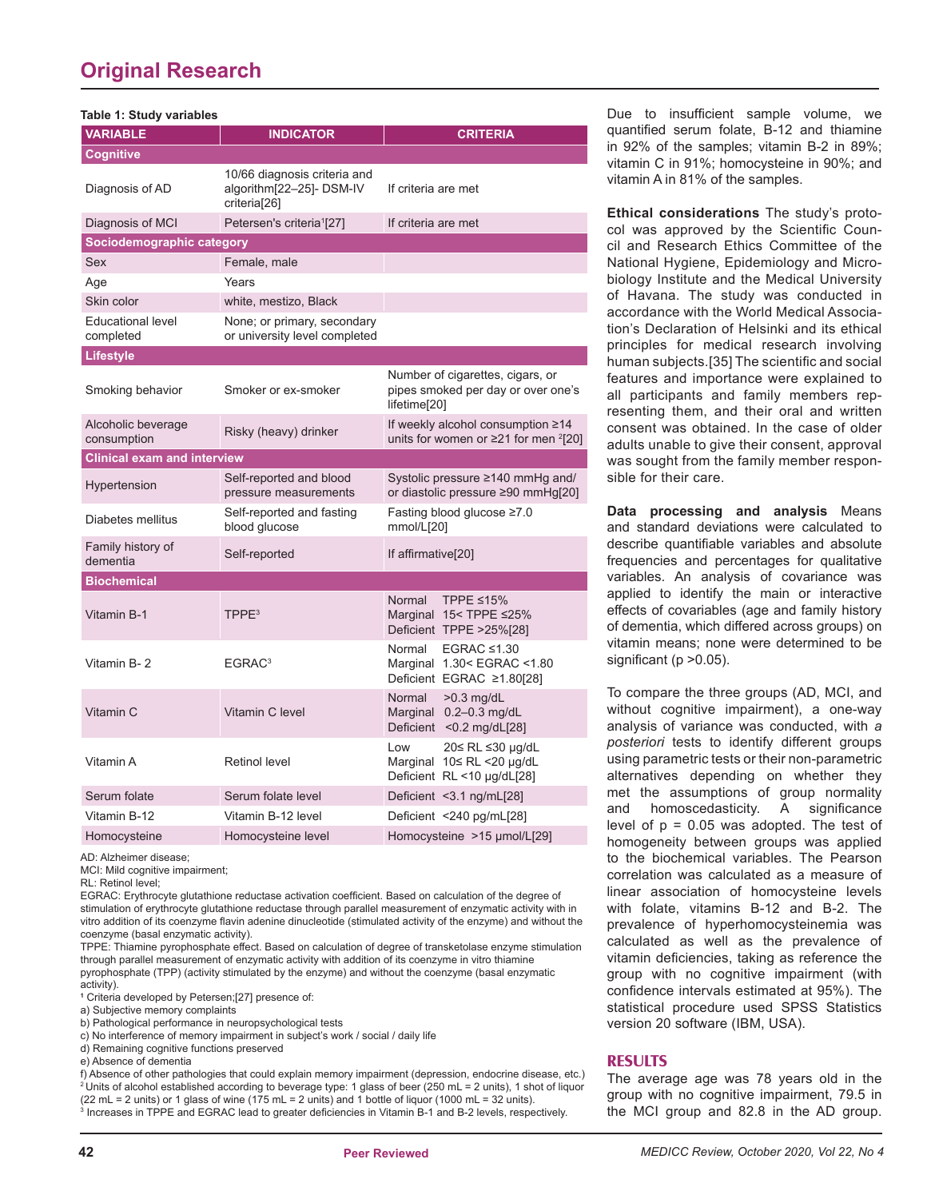## **Original Research**

| Table 1: Study variables              |                                                                                      |                                                                                                    |  |
|---------------------------------------|--------------------------------------------------------------------------------------|----------------------------------------------------------------------------------------------------|--|
| <b>VARIABLE</b>                       | <b>INDICATOR</b>                                                                     | <b>CRITERIA</b>                                                                                    |  |
| <b>Cognitive</b>                      |                                                                                      |                                                                                                    |  |
| Diagnosis of AD                       | 10/66 diagnosis criteria and<br>algorithm[22-25]- DSM-IV<br>criteria <sup>[26]</sup> | If criteria are met                                                                                |  |
| Diagnosis of MCI                      | Petersen's criteria <sup>1</sup> [27]                                                | If criteria are met                                                                                |  |
| Sociodemographic category             |                                                                                      |                                                                                                    |  |
| Sex                                   | Female, male                                                                         |                                                                                                    |  |
| Age                                   | Years                                                                                |                                                                                                    |  |
| Skin color                            | white, mestizo, Black                                                                |                                                                                                    |  |
| <b>Educational level</b><br>completed | None; or primary, secondary<br>or university level completed                         |                                                                                                    |  |
| Lifestyle                             |                                                                                      |                                                                                                    |  |
| Smoking behavior                      | Smoker or ex-smoker                                                                  | Number of cigarettes, cigars, or<br>pipes smoked per day or over one's<br>lifetime <sup>[20]</sup> |  |
| Alcoholic beverage<br>consumption     | Risky (heavy) drinker                                                                | If weekly alcohol consumption ≥14<br>units for women or $\geq$ 21 for men <sup>2</sup> [20]        |  |
| <b>Clinical exam and interview</b>    |                                                                                      |                                                                                                    |  |
| Hypertension                          | Self-reported and blood<br>pressure measurements                                     | Systolic pressure $\geq$ 140 mmHg and/<br>or diastolic pressure ≥90 mmHg[20]                       |  |
| Diabetes mellitus                     | Self-reported and fasting<br>blood glucose                                           | Fasting blood glucose ≥7.0<br>mmol/L[20]                                                           |  |
| Family history of<br>dementia         | Self-reported                                                                        | If affirmative <sup>[20]</sup>                                                                     |  |
| <b>Biochemical</b>                    |                                                                                      |                                                                                                    |  |
| <b>Vitamin B-1</b>                    | TPPE <sup>3</sup>                                                                    | Normal<br>TPPE ≤15%<br>Marginal 15< TPPE ≤25%<br>Deficient TPPE >25%[28]                           |  |
| Vitamin B-2                           | EGRAC <sup>3</sup>                                                                   | Normal<br>EGRAC $\leq$ 1.30<br>Marginal 1.30< EGRAC <1.80<br>Deficient EGRAC ≥1.80[28]             |  |
| Vitamin C                             | Vitamin C level                                                                      | Normal<br>$>0.3$ mg/dL<br>Marginal 0.2-0.3 mg/dL<br>Deficient <0.2 mg/dL[28]                       |  |
| Vitamin A                             | <b>Retinol level</b>                                                                 | 20≤ RL ≤30 µg/dL<br>Low<br>Marginal 10≤ RL <20 µg/dL<br>Deficient RL <10 µg/dL[28]                 |  |
| Serum folate                          | Serum folate level                                                                   | Deficient < 3.1 ng/mL[28]                                                                          |  |
| Vitamin B-12                          | Vitamin B-12 level                                                                   | Deficient <240 pg/mL[28]                                                                           |  |
| Homocysteine                          | Homocysteine level                                                                   | Homocysteine >15 µmol/L[29]                                                                        |  |

AD: Alzheimer disease;

MCI: Mild cognitive impairment;

RL: Retinol level;

EGRAC: Erythrocyte glutathione reductase activation coefficient. Based on calculation of the degree of stimulation of erythrocyte glutathione reductase through parallel measurement of enzymatic activity with in vitro addition of its coenzyme flavin adenine dinucleotide (stimulated activity of the enzyme) and without the coenzyme (basal enzymatic activity).

TPPE: Thiamine pyrophosphate effect. Based on calculation of degree of transketolase enzyme stimulation through parallel measurement of enzymatic activity with addition of its coenzyme in vitro thiamine pyrophosphate (TPP) (activity stimulated by the enzyme) and without the coenzyme (basal enzymatic activity).

**1** Criteria developed by Petersen;[27] presence of:

a) Subjective memory complaints

b) Pathological performance in neuropsychological tests

c) No interference of memory impairment in subject's work / social / daily life

d) Remaining cognitive functions preserved

e) Absence of dementia

f) Absence of other pathologies that could explain memory impairment (depression, endocrine disease, etc.) <sup>2</sup> Units of alcohol established according to beverage type: 1 glass of beer (250 mL = 2 units), 1 shot of liquor  $(22 \text{ mL} = 2 \text{ units})$  or 1 glass of wine  $(175 \text{ mL} = 2 \text{ units})$  and 1 bottle of liquor  $(1000 \text{ mL} = 32 \text{ units})$ . <sup>3</sup> Increases in TPPE and EGRAC lead to greater deficiencies in Vitamin B-1 and B-2 levels, respectively.

Due to insufficient sample volume, we quantified serum folate, B-12 and thiamine in 92% of the samples; vitamin B-2 in 89%; vitamin C in 91%; homocysteine in 90%; and vitamin A in 81% of the samples.

**Ethical considerations** The study's protocol was approved by the Scientific Council and Research Ethics Committee of the National Hygiene, Epidemiology and Microbiology Institute and the Medical University of Havana. The study was conducted in accordance with the World Medical Association's Declaration of Helsinki and its ethical principles for medical research involving human subjects.[35] The scientific and social features and importance were explained to all participants and family members representing them, and their oral and written consent was obtained. In the case of older adults unable to give their consent, approval was sought from the family member responsible for their care.

**Data processing and analysis** Means and standard deviations were calculated to describe quantifiable variables and absolute frequencies and percentages for qualitative variables. An analysis of covariance was applied to identify the main or interactive effects of covariables (age and family history of dementia, which differed across groups) on vitamin means; none were determined to be significant ( $p > 0.05$ ).

To compare the three groups (AD, MCI, and without cognitive impairment), a one-way analysis of variance was conducted, with *a posteriori* tests to identify different groups using parametric tests or their non-parametric alternatives depending on whether they met the assumptions of group normality and homoscedasticity. A significance level of  $p = 0.05$  was adopted. The test of homogeneity between groups was applied to the biochemical variables. The Pearson correlation was calculated as a measure of linear association of homocysteine levels with folate, vitamins B-12 and B-2. The prevalence of hyperhomocysteinemia was calculated as well as the prevalence of vitamin deficiencies, taking as reference the group with no cognitive impairment (with confidence intervals estimated at 95%). The statistical procedure used SPSS Statistics version 20 software (IBM, USA).

### **RESULTS**

The average age was 78 years old in the group with no cognitive impairment, 79.5 in the MCI group and 82.8 in the AD group.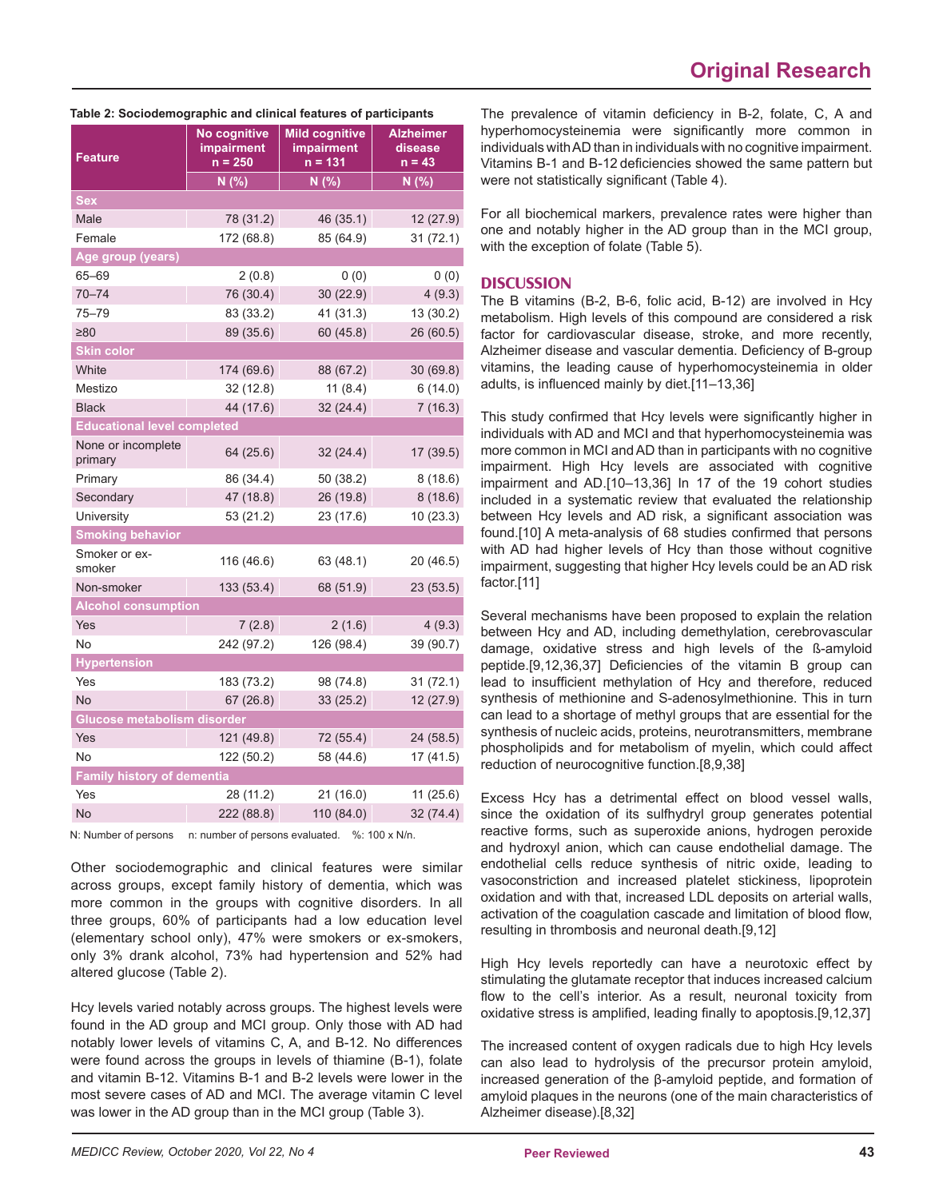| Feature                            | No cognitive<br>impairment<br>$n = 250$ | <b>Mild cognitive</b><br>impairment<br>n = 131 | <b>Alzheimer</b><br>disease<br>$n = 43$ |
|------------------------------------|-----------------------------------------|------------------------------------------------|-----------------------------------------|
|                                    | N(% )                                   | N(% )                                          | N(%)                                    |
| Sex                                |                                         |                                                |                                         |
| Male                               | 78 (31.2)                               | 46 (35.1)                                      | 12(27.9)                                |
| Female                             | 172 (68.8)                              | 85 (64.9)                                      | 31(72.1)                                |
| Age group (years)                  |                                         |                                                |                                         |
| 65-69                              | 2 (0.8)                                 | 0(0)                                           | 0(0)                                    |
| $70 - 74$                          | 76 (30.4)                               | 30(22.9)                                       | 4(9.3)                                  |
| 75–79                              | 83 (33.2)                               | 41 (31.3)                                      | 13 (30.2)                               |
| ≥80                                | 89 (35.6)                               | 60(45.8)                                       | 26 (60.5)                               |
| <b>Skin color</b>                  |                                         |                                                |                                         |
| White                              | 174 (69.6)                              | 88 (67.2)                                      | 30(69.8)                                |
| Mestizo                            | 32 (12.8)                               | 11(8.4)                                        | 6(14.0)                                 |
| <b>Black</b>                       | 44 (17.6)                               | 32(24.4)                                       | 7(16.3)                                 |
| <b>Educational level completed</b> |                                         |                                                |                                         |
| None or incomplete<br>primary      | 64 (25.6)                               | 32 (24.4)                                      | 17 (39.5)                               |
| Primary                            | 86 (34.4)                               | 50 (38.2)                                      | 8(18.6)                                 |
| Secondary                          | 47 (18.8)                               | 26 (19.8)                                      | 8(18.6)                                 |
| University                         | 53 (21.2)                               | 23 (17.6)                                      | 10 (23.3)                               |
| <b>Smoking behavior</b>            |                                         |                                                |                                         |
| Smoker or ex-<br>smoker            | 116 (46.6)                              | 63 (48.1)                                      | 20 (46.5)                               |
| Non-smoker                         | 133 (53.4)                              | 68 (51.9)                                      | 23(53.5)                                |
| <b>Alcohol consumption</b>         |                                         |                                                |                                         |
| Yes                                | 7(2.8)                                  | 2(1.6)                                         | 4(9.3)                                  |
| No                                 | 242 (97.2)                              | 126 (98.4)                                     | 39 (90.7)                               |
| <b>Hypertension</b>                |                                         |                                                |                                         |
| Yes                                | 183 (73.2)                              | 98 (74.8)                                      | 31(72.1)                                |
| <b>No</b>                          | 67(26.8)                                | 33(25.2)                                       | 12(27.9)                                |
| Glucose metabolism disorder        |                                         |                                                |                                         |
| Yes                                | 121 (49.8)                              | 72 (55.4)                                      | 24 (58.5)                               |
| No                                 | 122 (50.2)                              | 58 (44.6)                                      | 17 (41.5)                               |
| <b>Family history of dementia</b>  |                                         |                                                |                                         |
| Yes                                | 28 (11.2)                               | 21 (16.0)                                      | 11 (25.6)                               |
| No                                 | 222 (88.8)                              | 110 (84.0)                                     | 32 (74.4)                               |

#### **Table 2: Sociodemographic and clinical features of participants**

N: Number of persons n: number of persons evaluated. %: 100 x N/n.

Other sociodemographic and clinical features were similar across groups, except family history of dementia, which was more common in the groups with cognitive disorders. In all three groups, 60% of participants had a low education level (elementary school only), 47% were smokers or ex-smokers, only 3% drank alcohol, 73% had hypertension and 52% had altered glucose (Table 2).

Hcy levels varied notably across groups. The highest levels were found in the AD group and MCI group. Only those with AD had notably lower levels of vitamins C, A, and B-12. No differences were found across the groups in levels of thiamine (B-1), folate and vitamin B-12. Vitamins B-1 and B-2 levels were lower in the most severe cases of AD and MCI. The average vitamin C level was lower in the AD group than in the MCI group (Table 3).

The prevalence of vitamin deficiency in B-2, folate, C, A and hyperhomocysteinemia were significantly more common in individuals with AD than in individuals with no cognitive impairment. Vitamins B-1 and B-12 deficiencies showed the same pattern but were not statistically significant (Table 4).

For all biochemical markers, prevalence rates were higher than one and notably higher in the AD group than in the MCI group, with the exception of folate (Table 5).

## **DISCUSSION**

The B vitamins (B-2, B-6, folic acid, B-12) are involved in Hcy metabolism. High levels of this compound are considered a risk factor for cardiovascular disease, stroke, and more recently, Alzheimer disease and vascular dementia. Deficiency of B-group vitamins, the leading cause of hyperhomocysteinemia in older adults, is influenced mainly by diet.[11-13,36]

This study confirmed that Hcy levels were significantly higher in individuals with AD and MCI and that hyperhomocysteinemia was more common in MCI and AD than in participants with no cognitive impairment. High Hcy levels are associated with cognitive impairment and AD.[10–13,36] In 17 of the 19 cohort studies included in a systematic review that evaluated the relationship between Hcy levels and AD risk, a significant association was found.[10] A meta-analysis of 68 studies confirmed that persons with AD had higher levels of Hcy than those without cognitive impairment, suggesting that higher Hcy levels could be an AD risk factor.[11]

Several mechanisms have been proposed to explain the relation between Hcy and AD, including demethylation, cerebrovascular damage, oxidative stress and high levels of the ß-amyloid peptide.[9,12,36,37] Deficiencies of the vitamin B group can lead to insufficient methylation of Hcy and therefore, reduced synthesis of methionine and S-adenosylmethionine. This in turn can lead to a shortage of methyl groups that are essential for the synthesis of nucleic acids, proteins, neurotransmitters, membrane phospholipids and for metabolism of myelin, which could affect reduction of neurocognitive function.[8,9,38]

Excess Hcy has a detrimental effect on blood vessel walls, since the oxidation of its sulfhydryl group generates potential reactive forms, such as superoxide anions, hydrogen peroxide and hydroxyl anion, which can cause endothelial damage. The endothelial cells reduce synthesis of nitric oxide, leading to vasoconstriction and increased platelet stickiness, lipoprotein oxidation and with that, increased LDL deposits on arterial walls, activation of the coagulation cascade and limitation of blood flow, resulting in thrombosis and neuronal death.[9,12]

High Hcy levels reportedly can have a neurotoxic effect by stimulating the glutamate receptor that induces increased calcium flow to the cell's interior. As a result, neuronal toxicity from oxidative stress is amplified, leading finally to apoptosis.[9,12,37]

The increased content of oxygen radicals due to high Hcy levels can also lead to hydrolysis of the precursor protein amyloid, increased generation of the β-amyloid peptide, and formation of amyloid plaques in the neurons (one of the main characteristics of Alzheimer disease).[8,32]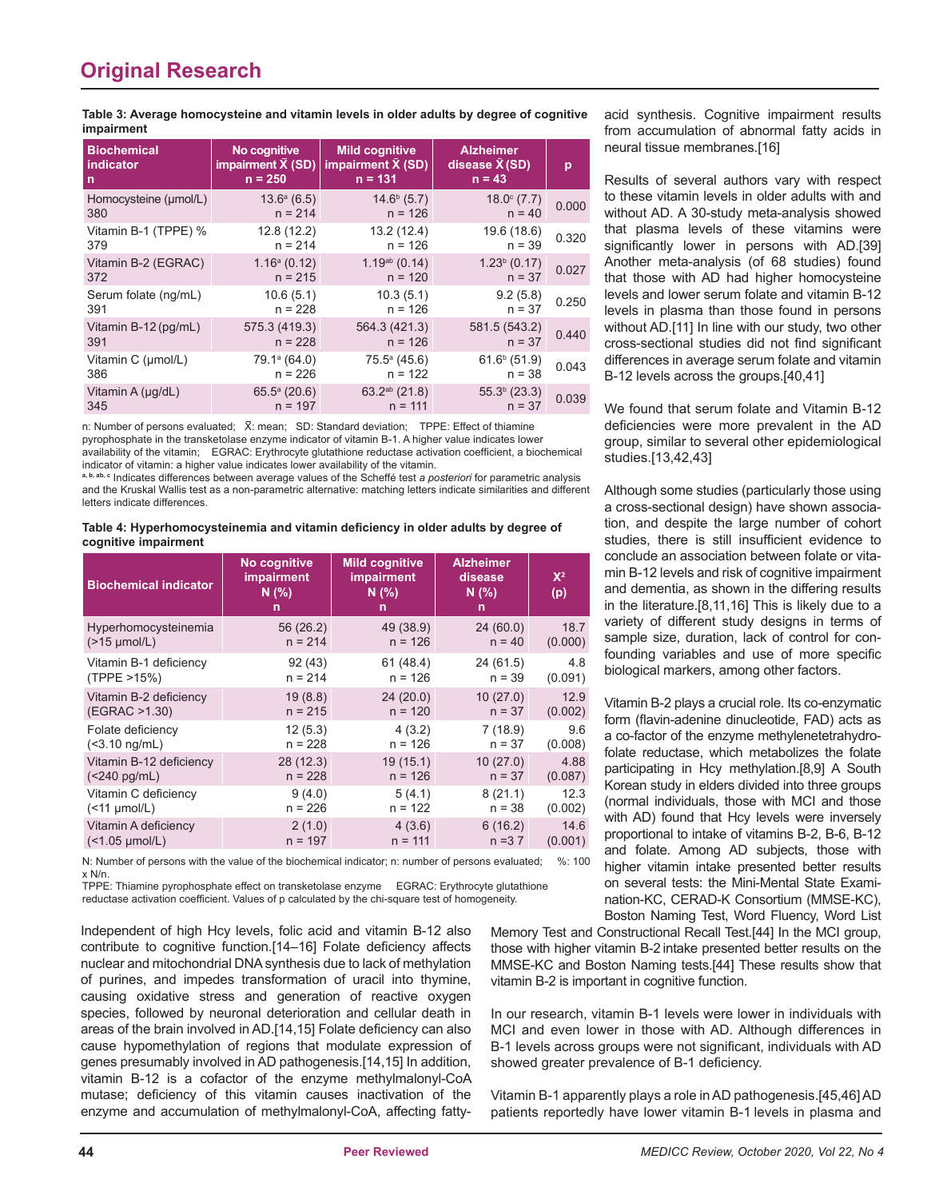**Table 3: Average homocysteine and vitamin levels in older adults by degree of cognitive impairment**

| <b>Biochemical</b>    | No cognitive              | <b>Mild cognitive</b>     | <b>Alzheimer</b>       | p     |
|-----------------------|---------------------------|---------------------------|------------------------|-------|
| indicator             | impairment $\bar{X}$ (SD) | impairment $\bar{X}$ (SD) | disease $\bar{X}$ (SD) |       |
| n                     | $n = 250$                 | $n = 131$                 | $n = 43$               |       |
| Homocysteine (µmol/L) | $13.6^{\circ}$ (6.5)      | $14.6b$ (5.7)             | $18.0^{\circ}$ (7.7)   | 0.000 |
| 380                   | $n = 214$                 | $n = 126$                 | $n = 40$               |       |
| Vitamin B-1 (TPPE) %  | 12.8 (12.2)               | 13.2(12.4)                | 19.6 (18.6)            | 0.320 |
| 379                   | $n = 214$                 | $n = 126$                 | $n = 39$               |       |
| Vitamin B-2 (EGRAC)   | $1.16^a (0.12)$           | $1.19ab$ (0.14)           | $1.23b$ (0.17)         | 0.027 |
| 372                   | $n = 215$                 | $n = 120$                 | $n = 37$               |       |
| Serum folate (ng/mL)  | 10.6(5.1)                 | 10.3(5.1)                 | 9.2(5.8)               | 0.250 |
| 391                   | $n = 228$                 | $n = 126$                 | $n = 37$               |       |
| Vitamin B-12 (pg/mL)  | 575.3 (419.3)             | 564.3 (421.3)             | 581.5 (543.2)          | 0.440 |
| 391                   | $n = 228$                 | $n = 126$                 | $n = 37$               |       |
| Vitamin C (µmol/L)    | 79.1 <sup>a</sup> (64.0)  | $75.5^{\circ}$ (45.6)     | $61.6b$ (51.9)         | 0.043 |
| 386                   | $n = 226$                 | $n = 122$                 | $n = 38$               |       |
| Vitamin A (µg/dL)     | $65.5^{\circ}$ (20.6)     | $63.2^{ab}$ (21.8)        | $55.3b$ (23.3)         | 0.039 |
| 345                   | $n = 197$                 | $n = 111$                 | $n = 37$               |       |

n: Number of persons evaluated; X: mean; SD: Standard deviation; TPPE: Effect of thiamine pyrophosphate in the transketolase enzyme indicator of vitamin B-1. A higher value indicates lower availability of the vitamin; EGRAC: Erythrocyte glutathione reductase activation coefficient, a biochemical indicator of vitamin: a higher value indicates lower availability of the vitamin.

**a, b, ab, c** Indicates differences between average values of the Scheffé test *a posteriori* for parametric analysis and the Kruskal Wallis test as a non-parametric alternative: matching letters indicate similarities and different letters indicate differences.

Table 4: Hyperhomocysteinemia and vitamin deficiency in older adults by degree of **cognitive impairment**

| <b>Biochemical indicator</b> | No cognitive<br>impairment<br>N(%)<br>n | <b>Mild cognitive</b><br><b>impairment</b><br>N(% )<br>n | <b>Alzheimer</b><br>disease<br>N(%)<br>n | $X^2$<br>(p) |
|------------------------------|-----------------------------------------|----------------------------------------------------------|------------------------------------------|--------------|
| Hyperhomocysteinemia         | 56 (26.2)                               | 49 (38.9)                                                | 24 (60.0)                                | 18.7         |
| $($ >15 µmol/L $)$           | $n = 214$                               | $n = 126$                                                | $n = 40$                                 | (0.000)      |
| Vitamin B-1 deficiency       | 92(43)                                  | 61(48.4)                                                 | 24 (61.5)                                | 4.8          |
| (TPPE >15%)                  | $n = 214$                               | $n = 126$                                                | $n = 39$                                 | (0.091)      |
| Vitamin B-2 deficiency       | 19(8.8)                                 | 24(20.0)                                                 | 10(27.0)                                 | 12.9         |
| (EGRAC >1.30)                | $n = 215$                               | $n = 120$                                                | $n = 37$                                 | (0.002)      |
| Folate deficiency            | 12(5.3)                                 | 4(3.2)                                                   | 7(18.9)                                  | 9.6          |
| $(<3.10$ ng/mL)              | $n = 228$                               | $n = 126$                                                | $n = 37$                                 | (0.008)      |
| Vitamin B-12 deficiency      | 28(12.3)                                | 19(15.1)                                                 | 10(27.0)                                 | 4.88         |
| $(< 240 \text{ pg/mL})$      | $n = 228$                               | $n = 126$                                                | $n = 37$                                 | (0.087)      |
| Vitamin C deficiency         | 9(4.0)                                  | 5(4.1)                                                   | 8(21.1)                                  | 12.3         |
| $($ < 11 $\mu$ mol/L)        | $n = 226$                               | $n = 122$                                                | $n = 38$                                 | (0.002)      |
| Vitamin A deficiency         | 2(1.0)                                  | 4(3.6)                                                   | 6(16.2)                                  | 14.6         |
| $($ < 1.05 $\mu$ mol/L)      | $n = 197$                               | $n = 111$                                                | $n = 37$                                 | (0.001)      |

N: Number of persons with the value of the biochemical indicator; n: number of persons evaluated; %: 100 x N/n.

TPPE: Thiamine pyrophosphate effect on transketolase enzyme EGRAC: Erythrocyte glutathione reductase activation coefficient. Values of p calculated by the chi-square test of homogeneity.

Independent of high Hcy levels, folic acid and vitamin B-12 also contribute to cognitive function.[14-16] Folate deficiency affects nuclear and mitochondrial DNA synthesis due to lack of methylation of purines, and impedes transformation of uracil into thymine, causing oxidative stress and generation of reactive oxygen species, followed by neuronal deterioration and cellular death in areas of the brain involved in AD.[14,15] Folate deficiency can also cause hypomethylation of regions that modulate expression of genes presumably involved in AD pathogenesis.[14,15] In addition, vitamin B-12 is a cofactor of the enzyme methylmalonyl-CoA mutase; deficiency of this vitamin causes inactivation of the enzyme and accumulation of methylmalonyl-CoA, affecting fattyacid synthesis. Cognitive impairment results from accumulation of abnormal fatty acids in neural tissue membranes.[16]

Results of several authors vary with respect to these vitamin levels in older adults with and without AD. A 30-study meta-analysis showed that plasma levels of these vitamins were significantly lower in persons with AD.[39] Another meta-analysis (of 68 studies) found that those with AD had higher homocysteine levels and lower serum folate and vitamin B-12 levels in plasma than those found in persons without AD.[11] In line with our study, two other cross-sectional studies did not find significant differences in average serum folate and vitamin B-12 levels across the groups.[40,41]

We found that serum folate and Vitamin B-12 deficiencies were more prevalent in the AD group, similar to several other epidemiological studies.[13,42,43]

Although some studies (particularly those using a cross-sectional design) have shown association, and despite the large number of cohort studies, there is still insufficient evidence to conclude an association between folate or vitamin B-12 levels and risk of cognitive impairment and dementia, as shown in the differing results in the literature.[8,11,16] This is likely due to a variety of different study designs in terms of sample size, duration, lack of control for confounding variables and use of more specific biological markers, among other factors.

Vitamin B-2 plays a crucial role. Its co-enzymatic form (flavin-adenine dinucleotide, FAD) acts as a co-factor of the enzyme methylenetetrahydrofolate reductase, which metabolizes the folate participating in Hcy methylation.[8,9] A South Korean study in elders divided into three groups (normal individuals, those with MCI and those with AD) found that Hcy levels were inversely proportional to intake of vitamins B-2, B-6, B-12 and folate. Among AD subjects, those with higher vitamin intake presented better results on several tests: the Mini-Mental State Examination-KC, CERAD-K Consortium (MMSE-KC), Boston Naming Test, Word Fluency, Word List

Memory Test and Constructional Recall Test.[44] In the MCI group, those with higher vitamin B-2 intake presented better results on the MMSE-KC and Boston Naming tests.[44] These results show that vitamin B-2 is important in cognitive function.

In our research, vitamin B-1 levels were lower in individuals with MCI and even lower in those with AD. Although differences in B-1 levels across groups were not significant, individuals with AD showed greater prevalence of B-1 deficiency.

Vitamin B-1 apparently plays a role in AD pathogenesis.[45,46] AD patients reportedly have lower vitamin B-1 levels in plasma and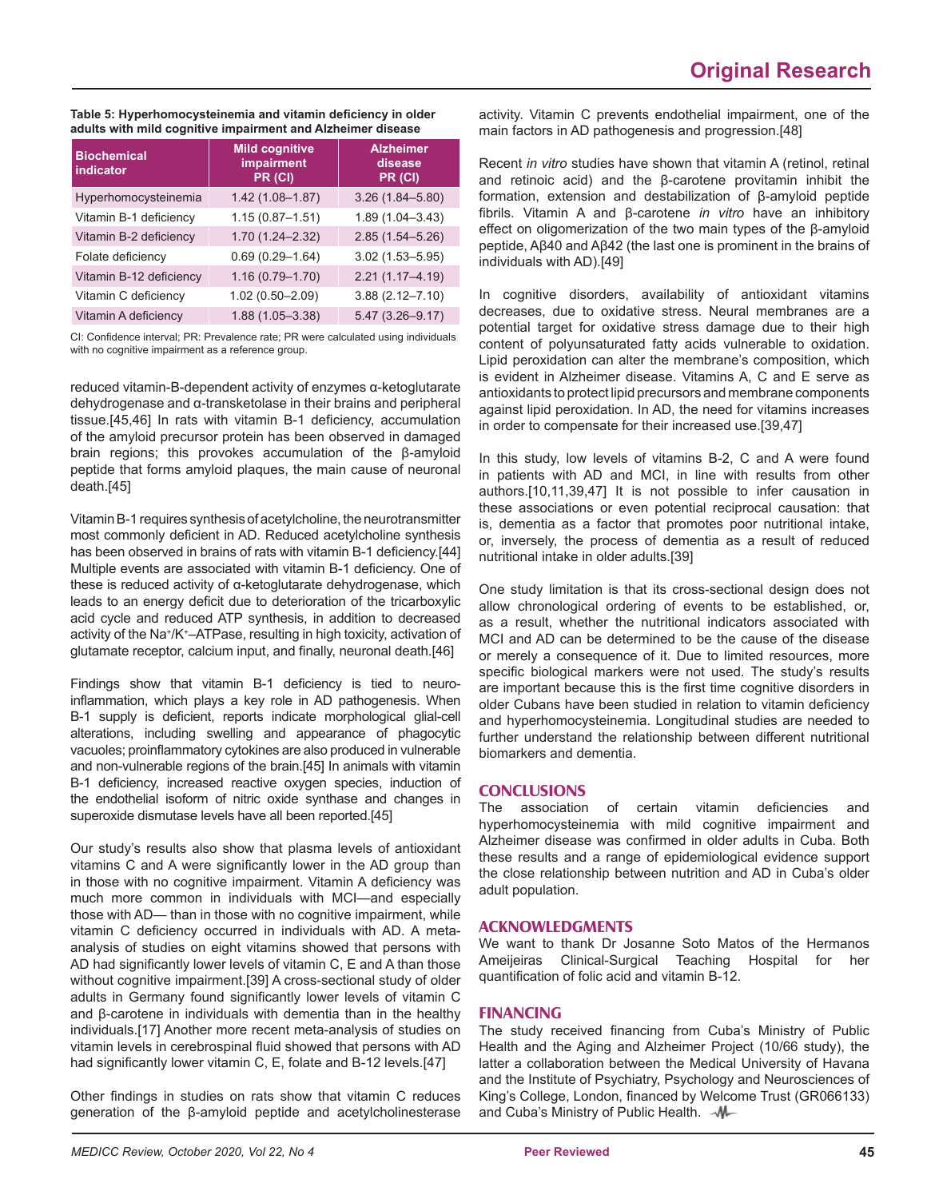#### Table 5: Hyperhomocysteinemia and vitamin deficiency in older **adults with mild cognitive impairment and Alzheimer disease**

| <b>Biochemical</b><br>indicator | <b>Mild cognitive</b><br>impairment<br>$PR$ (CI) | <b>Alzheimer</b><br>disease<br>PR (CI) |
|---------------------------------|--------------------------------------------------|----------------------------------------|
| Hyperhomocysteinemia            | $1.42(1.08 - 1.87)$                              | $3.26(1.84 - 5.80)$                    |
| Vitamin B-1 deficiency          | $1.15(0.87 - 1.51)$                              | $1.89(1.04 - 3.43)$                    |
| Vitamin B-2 deficiency          | $1.70(1.24 - 2.32)$                              | $2.85(1.54 - 5.26)$                    |
| Folate deficiency               | $0.69(0.29 - 1.64)$                              | $3.02(1.53 - 5.95)$                    |
| Vitamin B-12 deficiency         | $1.16(0.79 - 1.70)$                              | $2.21(1.17 - 4.19)$                    |
| Vitamin C deficiency            | $1.02(0.50 - 2.09)$                              | $3.88(2.12 - 7.10)$                    |
| Vitamin A deficiency            | $1.88(1.05 - 3.38)$                              | $5.47(3.26 - 9.17)$                    |

CI: Confidence interval; PR: Prevalence rate; PR were calculated using individuals with no cognitive impairment as a reference group.

reduced vitamin-B-dependent activity of enzymes α-ketoglutarate dehydrogenase and α-transketolase in their brains and peripheral tissue.[45,46] In rats with vitamin B-1 deficiency, accumulation of the amyloid precursor protein has been observed in damaged brain regions; this provokes accumulation of the β-amyloid peptide that forms amyloid plaques, the main cause of neuronal death.[45]

Vitamin B-1 requires synthesis of acetylcholine, the neurotransmitter most commonly deficient in AD. Reduced acetylcholine synthesis has been observed in brains of rats with vitamin B-1 deficiency.[44] Multiple events are associated with vitamin B-1 deficiency. One of these is reduced activity of α-ketoglutarate dehydrogenase, which leads to an energy deficit due to deterioration of the tricarboxylic acid cycle and reduced ATP synthesis, in addition to decreased activity of the Na+/K+–ATPase, resulting in high toxicity, activation of glutamate receptor, calcium input, and finally, neuronal death.[46]

Findings show that vitamin B-1 deficiency is tied to neuroinflammation, which plays a key role in AD pathogenesis. When B-1 supply is deficient, reports indicate morphological glial-cell alterations, including swelling and appearance of phagocytic vacuoles; proinflammatory cytokines are also produced in vulnerable and non-vulnerable regions of the brain.[45] In animals with vitamin B-1 deficiency, increased reactive oxygen species, induction of the endothelial isoform of nitric oxide synthase and changes in superoxide dismutase levels have all been reported.[45]

Our study's results also show that plasma levels of antioxidant vitamins C and A were significantly lower in the AD group than in those with no cognitive impairment. Vitamin A deficiency was much more common in individuals with MCI—and especially those with AD— than in those with no cognitive impairment, while vitamin C deficiency occurred in individuals with AD. A metaanalysis of studies on eight vitamins showed that persons with AD had significantly lower levels of vitamin C, E and A than those without cognitive impairment.[39] A cross-sectional study of older adults in Germany found significantly lower levels of vitamin C and β-carotene in individuals with dementia than in the healthy individuals.[17] Another more recent meta-analysis of studies on vitamin levels in cerebrospinal fluid showed that persons with AD had significantly lower vitamin C, E, folate and B-12 levels.[47]

Other findings in studies on rats show that vitamin C reduces generation of the β-amyloid peptide and acetylcholinesterase

activity. Vitamin C prevents endothelial impairment, one of the main factors in AD pathogenesis and progression.[48]

Recent *in vitro* studies have shown that vitamin A (retinol, retinal and retinoic acid) and the β-carotene provitamin inhibit the formation, extension and destabilization of β-amyloid peptide fibrils. Vitamin A and β-carotene *in vitro* have an inhibitory effect on oligomerization of the two main types of the β-amyloid peptide, Aβ40 and Aβ42 (the last one is prominent in the brains of individuals with AD).[49]

In cognitive disorders, availability of antioxidant vitamins decreases, due to oxidative stress. Neural membranes are a potential target for oxidative stress damage due to their high content of polyunsaturated fatty acids vulnerable to oxidation. Lipid peroxidation can alter the membrane's composition, which is evident in Alzheimer disease. Vitamins A, C and E serve as antioxidants to protect lipid precursors and membrane components against lipid peroxidation. In AD, the need for vitamins increases in order to compensate for their increased use.[39,47]

In this study, low levels of vitamins B-2, C and A were found in patients with AD and MCI, in line with results from other authors.[10,11,39,47] It is not possible to infer causation in these associations or even potential reciprocal causation: that is, dementia as a factor that promotes poor nutritional intake, or, inversely, the process of dementia as a result of reduced nutritional intake in older adults.[39]

One study limitation is that its cross-sectional design does not allow chronological ordering of events to be established, or, as a result, whether the nutritional indicators associated with MCI and AD can be determined to be the cause of the disease or merely a consequence of it. Due to limited resources, more specific biological markers were not used. The study's results are important because this is the first time cognitive disorders in older Cubans have been studied in relation to vitamin deficiency and hyperhomocysteinemia. Longitudinal studies are needed to further understand the relationship between different nutritional biomarkers and dementia.

## **CONCLUSIONS**

The association of certain vitamin deficiencies and hyperhomocysteinemia with mild cognitive impairment and Alzheimer disease was confirmed in older adults in Cuba. Both these results and a range of epidemiological evidence support the close relationship between nutrition and AD in Cuba's older adult population.

## **ACKNOWLEDGMENTS**

We want to thank Dr Josanne Soto Matos of the Hermanos Ameijeiras Clinical-Surgical Teaching Hospital for her quantification of folic acid and vitamin B-12.

## **FINANCING**

The study received financing from Cuba's Ministry of Public Health and the Aging and Alzheimer Project (10/66 study), the latter a collaboration between the Medical University of Havana and the Institute of Psychiatry, Psychology and Neurosciences of King's College, London, financed by Welcome Trust (GR066133) and Cuba's Ministry of Public Health.  $-M -$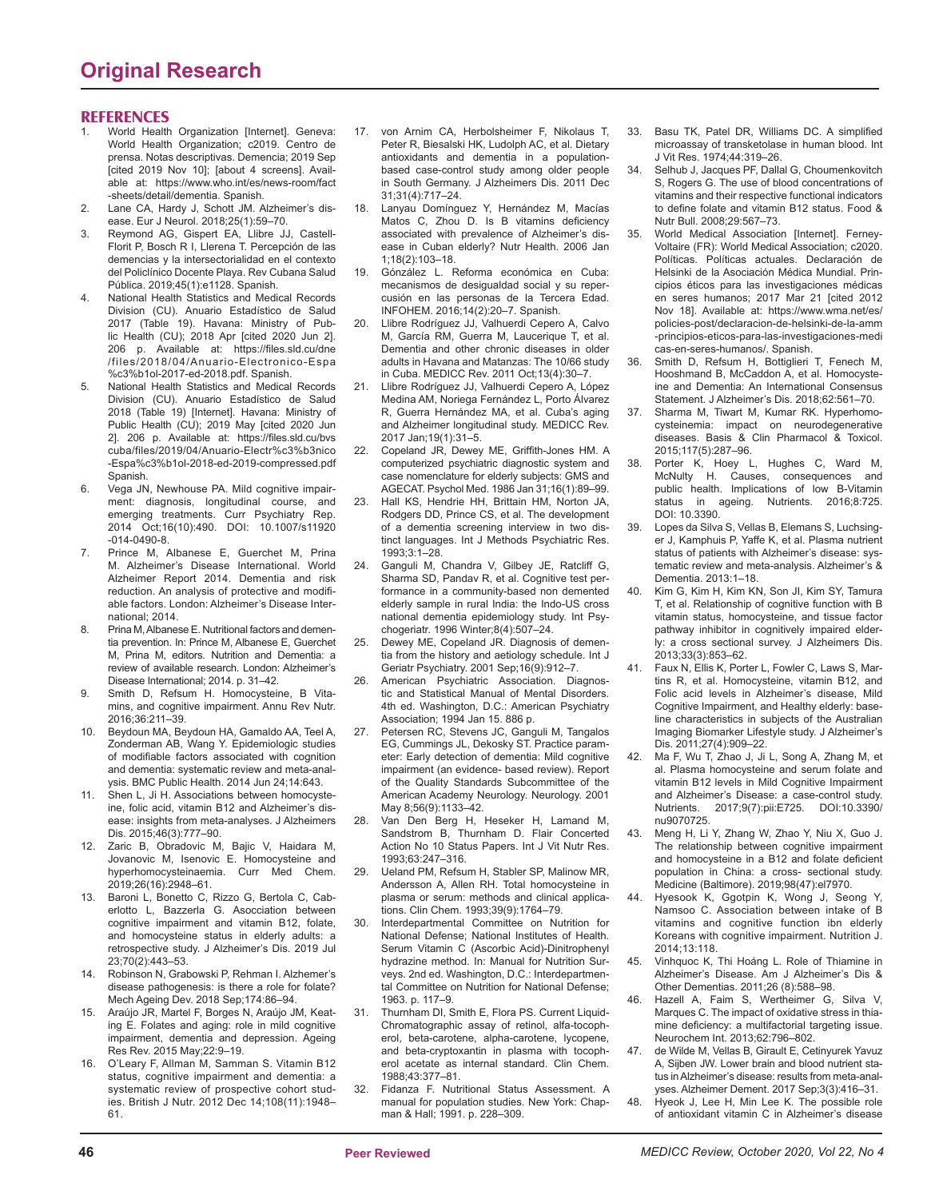#### **REFERENCES**

- World Health Organization [Internet]. Geneva: World Health Organization; c2019. Centro de prensa. Notas descriptivas. Demencia; 2019 Sep [cited 2019 Nov 10]; [about 4 screens]. Available at: https://www.who.int/es/news-room/fact -sheets/detail/dementia. Spanish.
- 2. Lane CA, Hardy J, Schott JM. Alzheimer's disease. Eur J Neurol. 2018;25(1):59–70.
- 3. Reymond AG, Gispert EA, Llibre JJ, Castell-Florit P, Bosch R I, Llerena T. Percepción de las demencias y la intersectorialidad en el contexto del Policlínico Docente Playa. Rev Cubana Salud Pública. 2019;45(1):e1128. Spanish.
- 4. National Health Statistics and Medical Records Division (CU). Anuario Estadístico de Salud 2017 (Table 19). Havana: Ministry of Public Health (CU); 2018 Apr [cited 2020 Jun 2]. 206 p. Available at: https://files.sld.cu/dne /files/2018/04/Anuario-Electronico-Espa %c3%b1ol-2017-ed-2018.pdf. Spanish.
- 5. National Health Statistics and Medical Records Division (CU). Anuario Estadístico de Salud 2018 (Table 19) [Internet]. Havana: Ministry of Public Health (CU); 2019 May [cited 2020 Jun 2]. 206 p. Available at: https://files.sld.cu/bvs cuba/files/2019/04/Anuario-Electr%c3%b3nico -Espa%c3%b1ol-2018-ed-2019-compressed.pdf Spanish.
- 6. Vega JN, Newhouse PA. Mild cognitive impairment: diagnosis, longitudinal course, and emerging treatments. Curr Psychiatry Rep. 2014 Oct;16(10):490. DOI: 10.1007/s11920 -014-0490-8.
- 7. Prince M, Albanese E, Guerchet M, Prina M. Alzheimer's Disease International. World Alzheimer Report 2014. Dementia and risk reduction. An analysis of protective and modifiable factors. London: Alzheimer's Disease International; 2014.
- 8. Prina M, Albanese E. Nutritional factors and dementia prevention. In: Prince M, Albanese E, Guerchet M, Prina M, editors. Nutrition and Dementia: a review of available research. London: Alzheimer's Disease International; 2014. p. 31–42.
- 9. Smith D, Refsum H. Homocysteine, B Vitamins, and cognitive impairment. Annu Rev Nutr. 2016;36:211–39.
- 10. Beydoun MA, Beydoun HA, Gamaldo AA, Teel A, Zonderman AB, Wang Y. Epidemiologic studies of modifiable factors associated with cognition and dementia: systematic review and meta-analysis. BMC Public Health. 2014 Jun 24;14:643.
- Shen L, Ji H. Associations between homocysteine, folic acid, vitamin B12 and Alzheimer's disease: insights from meta-analyses. J Alzheimers Dis. 2015;46(3):777–90.
- 12. Zaric B, Obradovic M, Bajic V, Haidara M, Jovanovic M, Isenovic E. Homocysteine and hyperhomocysteinaemia. Curr Med Chem. 2019;26(16):2948–61.
- 13. Baroni L, Bonetto C, Rizzo G, Bertola C, Caberlotto L, Bazzerla G. Asocciation between cognitive impairment and vitamin B12, folate, and homocysteine status in elderly adults: a retrospective study. J Alzheimer's Dis. 2019 Jul 23;70(2):443–53.
- 14. Robinson N, Grabowski P, Rehman I. Alzhemer's disease pathogenesis: is there a role for folate? Mech Ageing Dev. 2018 Sep;174:86–94.
- 15. Araújo JR, Martel F, Borges N, Araújo JM, Keating E. Folates and aging: role in mild cognitive impairment, dementia and depression. Ageing Res Rev. 2015 May;22:9–19.
- 16. O'Leary F, Allman M, Samman S. Vitamin B12 status, cognitive impairment and dementia: a systematic review of prospective cohort studies. British J Nutr. 2012 Dec 14;108(11):1948– 61.
- 17. von Arnim CA, Herbolsheimer F, Nikolaus T, Peter R, Biesalski HK, Ludolph AC, et al. Dietary antioxidants and dementia in a populationbased case-control study among older people in South Germany. J Alzheimers Dis. 2011 Dec 31;31(4):717–24.
- 18. Lanyau Domínguez Y, Hernández M, Macías Matos C, Zhou D. Is B vitamins deficiency associated with prevalence of Alzheimer's disease in Cuban elderly? Nutr Health. 2006 Jan 1;18(2):103–18.
- 19. Gónzález L. Reforma económica en Cuba: mecanismos de desigualdad social y su repercusión en las personas de la Tercera Edad. INFOHEM. 2016;14(2):20–7. Spanish.
- 20. Llibre Rodríguez JJ, Valhuerdi Cepero A, Calvo M, García RM, Guerra M, Laucerique T, et al. Dementia and other chronic diseases in older adults in Havana and Matanzas: The 10/66 study in Cuba. MEDICC Rev. 2011 Oct;13(4):30–7.
- 21. Llibre Rodríguez JJ, Valhuerdi Cepero A, López Medina AM, Noriega Fernández L, Porto Álvarez R, Guerra Hernández MA, et al. Cuba's aging and Alzheimer longitudinal study. MEDICC Rev. 2017 Jan;19(1):31–5.
- 22. Copeland JR, Dewey ME, Griffith-Jones HM. A computerized psychiatric diagnostic system and case nomenclature for elderly subjects: GMS and AGECAT. Psychol Med. 1986 Jan 31;16(1):89–99.
- 23. Hall KS, Hendrie HH, Brittain HM, Norton JA, Rodgers DD, Prince CS, et al. The development of a dementia screening interview in two distinct languages. Int J Methods Psychiatric Res. 1993;3:1–28.
- 24. Ganguli M, Chandra V, Gilbey JE, Ratcliff G, Sharma SD, Pandav R, et al. Cognitive test performance in a community-based non demented elderly sample in rural India: the Indo-US cross national dementia epidemiology study. Int Psychogeriatr. 1996 Winter;8(4):507–24.
- 25. Dewey ME, Copeland JR. Diagnosis of dementia from the history and aetiology schedule. Int J Geriatr Psychiatry. 2001 Sep;16(9):912–7.
- 26. American Psychiatric Association. Diagnostic and Statistical Manual of Mental Disorders. 4th ed. Washington, D.C.: American Psychiatry Association; 1994 Jan 15. 886 p.
- Petersen RC, Stevens JC, Ganguli M, Tangalos EG, Cummings JL, Dekosky ST. Practice parameter: Early detection of dementia: Mild cognitive impairment (an evidence- based review). Report of the Quality Standards Subcommittee of the American Academy Neurology. Neurology. 2001 May 8;56(9):1133–42.
- 28. Van Den Berg H, Heseker H, Lamand M, Sandstrom B, Thurnham D. Flair Concerted Action No 10 Status Papers. Int J Vit Nutr Res. 1993;63:247–316.
- 29. Ueland PM, Refsum H, Stabler SP, Malinow MR, Andersson A, Allen RH. Total homocysteine in plasma or serum: methods and clinical applications. Clin Chem. 1993;39(9):1764–79.
- 30. Interdepartmental Committee on Nutrition for National Defense; National Institutes of Health. Serum Vitamin C (Ascorbic Acid)-Dinitrophenyl hydrazine method. In: Manual for Nutrition Surveys. 2nd ed. Washington, D.C.: Interdepartmental Committee on Nutrition for National Defense; 1963. p. 117–9.
- 31. Thurnham DI, Smith E, Flora PS. Current Liquid-Chromatographic assay of retinol, alfa-tocopherol, beta-carotene, alpha-carotene, lycopene, and beta-cryptoxantin in plasma with tocopherol acetate as internal standard. Clin Chem. 1988;43:377–81.
- 32. Fidanza F. Nutritional Status Assessment. A manual for population studies. New York: Chapman & Hall; 1991. p. 228–309.
- 33. Basu TK, Patel DR, Williams DC. A simplified microassay of transketolase in human blood. Int J Vit Res. 1974;44:319–26.
- 34. Selhub J, Jacques PF, Dallal G, Choumenkovitch S, Rogers G. The use of blood concentrations of vitamins and their respective functional indicators to define folate and vitamin B12 status. Food & Nutr Bull. 2008;29:567–73.
- 35. World Medical Association [Internet]. Ferney-Voltaire (FR): World Medical Association; c2020. Políticas. Políticas actuales. Declaración de Helsinki de la Asociación Médica Mundial. Principios éticos para las investigaciones médicas en seres humanos; 2017 Mar 21 [cited 2012 Nov 18]. Available at: https://www.wma.net/es/ policies-post/declaracion-de-helsinki-de-la-amm -principios-eticos-para-las-investigaciones-medi cas-en-seres-humanos/. Spanish.
- 36. Smith D, Refsum H, Bottiglieri T, Fenech M, Hooshmand B, McCaddon A, et al. Homocysteine and Dementia: An International Consensus Statement. J Alzheimer's Dis. 2018;62:561–70.
- 37. Sharma M, Tiwart M, Kumar RK. Hyperhomocysteinemia: impact on neurodegenerative diseases. Basis & Clin Pharmacol & Toxicol. 2015;117(5):287–96.
- 38. Porter K, Hoey L, Hughes C, Ward M, McNulty H. Causes, consequences and public health. Implications of low B-Vitamin status in ageing. Nutrients. 2016;8:725. DOI: 10.3390.
- 39. Lopes da Silva S, Vellas B, Elemans S, Luchsinger J, Kamphuis P, Yaffe K, et al. Plasma nutrient status of patients with Alzheimer's disease: systematic review and meta-analysis. Alzheimer's & Dementia. 2013:1–18.
- 40. Kim G, Kim H, Kim KN, Son JI, Kim SY, Tamura T, et al. Relationship of cognitive function with B vitamin status, homocysteine, and tissue factor pathway inhibitor in cognitively impaired elderly: a cross sectional survey. J Alzheimers Dis. 2013;33(3):853–62.
- Faux N, Ellis K, Porter L, Fowler C, Laws S, Martins R, et al. Homocysteine, vitamin B12, and Folic acid levels in Alzheimer's disease, Mild Cognitive Impairment, and Healthy elderly: baseline characteristics in subjects of the Australian Imaging Biomarker Lifestyle study. J Alzheimer's Dis. 2011;27(4):909–22.
- Ma F, Wu T, Zhao J, Ji L, Song A, Zhang M, et al. Plasma homocysteine and serum folate and vitamin B12 levels in Mild Cognitive Impairment and Alzheimer's Disease: a case-control study. Nutrients. 2017;9(7):pii:E725. DOI:10.3390/ nu9070725.
- 43. Meng H, Li Y, Zhang W, Zhao Y, Niu X, Guo J. The relationship between cognitive impairment and homocysteine in a B12 and folate deficient population in China: a cross- sectional study. Medicine (Baltimore). 2019;98(47):el7970.
- 44. Hyesook K, Ggotpin K, Wong J, Seong Y, Namsoo C. Association between intake of B vitamins and cognitive function ibn elderly Koreans with cognitive impairment. Nutrition J. 2014;13:118.
- 45. Vinhquoc K, Thi Hoáng L. Role of Thiamine in Alzheimer's Disease. Am J Alzheimer's Dis & Other Dementias. 2011;26 (8):588–98.
- 46. Hazell A, Faim S, Wertheimer G, Silva V, Marques C. The impact of oxidative stress in thiamine deficiency: a multifactorial targeting issue. Neurochem Int. 2013;62:796–802.
- de Wilde M, Vellas B, Girault E, Cetinyurek Yavuz A, Sijben JW. Lower brain and blood nutrient status in Alzheimer's disease: results from meta-analyses. Alzheimer Dement. 2017 Sep;3(3):416–31.
- 48. Hyeok J, Lee H, Min Lee K. The possible role of antioxidant vitamin C in Alzheimer's disease